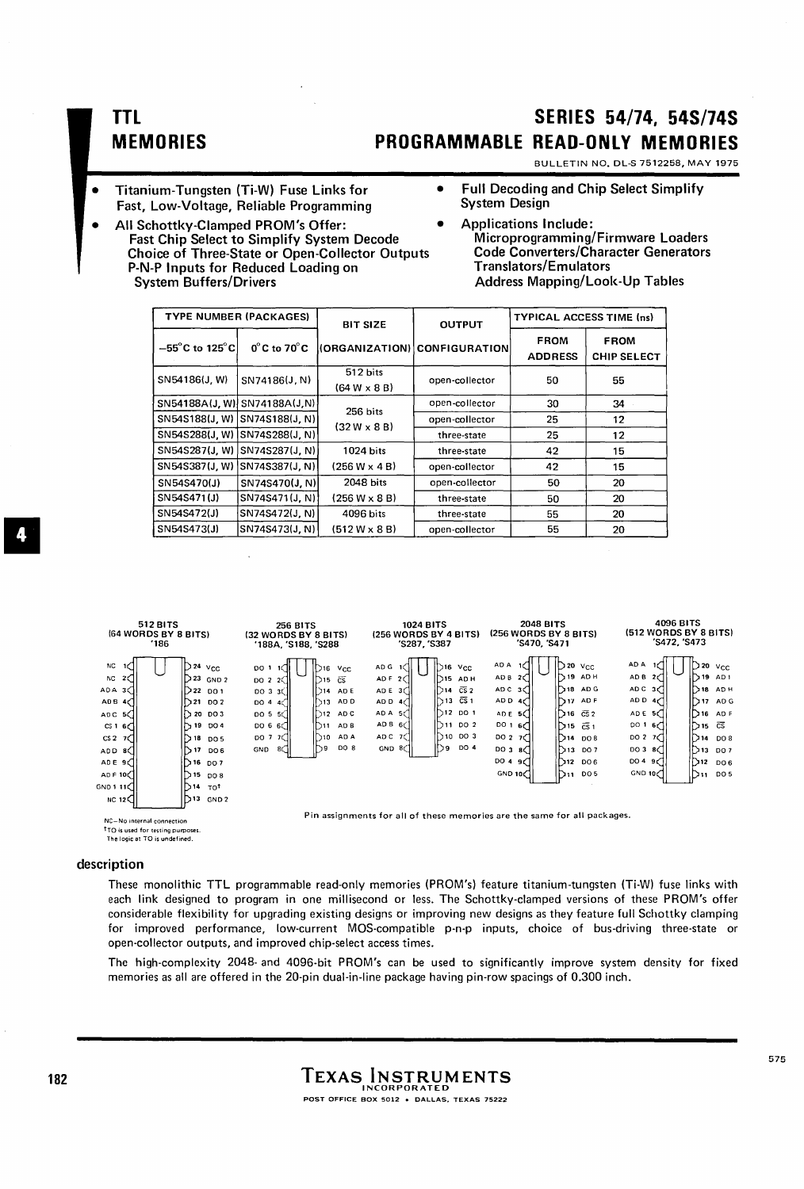## **TTL MEMORIES**

# **SERIES 54/74. 54S/74S PROGRAMMABLE READ-ONLY MEMORIES**

BULLETIN NO. DL-S 7512258, MAY 1975

- Fast, Low-Voltage, Reliable Programming
- Titanium-Tungsten (Ti-W) Fuse Links for Full Decoding and Chip Select Simplify<br>Fast Low-Voltage Reliable Programming · System Design
- All Schottky-Clamped PROM's Offer: • Applications Include: Fast Chip Select to Simplify System Decode Choice of Three-State or Open-Collector Outputs P-N-P Inputs for Reduced Loading on<br>System Buffers/Drivers
	- Microprogramming/Firmware Loaders Code Converters/Character Generators Translators/Emulators Address Mapping/Look-Up Tables

|                                         | <b>TYPE NUMBER (PACKAGES)</b>    | <b>BIT SIZE</b>                 | <b>OUTPUT</b>                | <b>TYPICAL ACCESS TIME (ns)</b> |                                   |
|-----------------------------------------|----------------------------------|---------------------------------|------------------------------|---------------------------------|-----------------------------------|
| $-55^{\circ}$ C to 125 $^{\circ}$ C $ $ | $0^{\circ}$ C to 70 $^{\circ}$ C |                                 | (ORGANIZATION) CONFIGURATION | <b>FROM</b><br><b>ADDRESS</b>   | <b>FROM</b><br><b>CHIP SELECT</b> |
| SN54186(J, W)                           | SN74186(J, N)                    | 512 bits<br>$(64 W \times 8 B)$ | open-collector               | 50                              | 55                                |
| SN54188A(J, W) SN74188A(J, N)           |                                  | 256 bits                        | open-collector               | 30                              | 34                                |
| SN54S188(J, W) SN74S188(J, N)           |                                  | $(32 W \times 8 B)$             | open-collector               | 25                              | 12                                |
| SN54S288(J, W)                          | SN74S288(J, N)                   |                                 | three-state                  | 25                              | 12                                |
| SN54S287(J, W)                          | SN74S287(J, N)                   | 1024 bits                       | three-state                  | 42                              | 15                                |
| SN54S387(J, W)                          | SN74S387(J, N)                   | $(256 W \times 4 B)$            | open-collector               | 42                              | 15                                |
| SN54S470(J)                             | SN74S470(J, N)                   | 2048 bits                       | open-collector               | 50                              | 20                                |
| SN54S471(J)                             | SN74S471(J, N)                   | $(256 W \times 8 B)$            | three-state                  | 50                              | 20                                |
| SN54S472(J)                             | SN74S472(J, N)                   | 4096 bits                       | three-state                  | 55                              | 20                                |
| SN54S473(J)                             | SN74S473(J, N)                   | $(512 W \times 8 B)$            | open-collector               | 55                              | 20                                |

| 512 BITS<br>(64 WORDS BY 8 BITS)<br>186                                                                                                                                               |                                                                                                                                                                                                                                                                                 | 256 BITS<br>(32 WORDS BY 8 BITS)<br>'188A, 'S188, 'S288                                                |                                                                                                                                             |                                                                                                        | 1024 BITS<br>(256 WORDS BY 4 BITS)<br>'S287, 'S387                                                                                                                                               |                                                                                                              | <b>2048 BITS</b><br>(256 WORDS BY 8 BITS)<br>'S470, 'S471                                                                                                                             | 4096 BITS<br>(512 WORDS BY 8 BITS)<br>'S472, 'S473                                                                                  |                                                                                                                                                                  |
|---------------------------------------------------------------------------------------------------------------------------------------------------------------------------------------|---------------------------------------------------------------------------------------------------------------------------------------------------------------------------------------------------------------------------------------------------------------------------------|--------------------------------------------------------------------------------------------------------|---------------------------------------------------------------------------------------------------------------------------------------------|--------------------------------------------------------------------------------------------------------|--------------------------------------------------------------------------------------------------------------------------------------------------------------------------------------------------|--------------------------------------------------------------------------------------------------------------|---------------------------------------------------------------------------------------------------------------------------------------------------------------------------------------|-------------------------------------------------------------------------------------------------------------------------------------|------------------------------------------------------------------------------------------------------------------------------------------------------------------|
| NC<br>2€<br>NC.<br>AD A<br>3C)<br>AD <sub>B</sub><br>4CT<br>AD C<br>CS <sub>1</sub><br>6€<br>CS <sub>2</sub><br>70<br>AD D<br>8C I<br>ADE 9<br>AD F 10<br>GND 1 11<br>NC 12 $\bigcap$ | $124 \text{ V}_\text{CC}$<br>$23$ GND 2<br>ו סם 22\<br>1)21<br><b>DO 2</b><br><b>320 DO3</b><br>19<br>DO 4<br>18<br>DO 5<br>ን 17<br>DO 6<br>$\triangleright$ 16 $\triangleright$ 007<br>∋ 15<br><b>DO 8</b><br>$\mathbf{^{514}}$<br>TO <sup>t</sup><br>בור∑<br>GND <sub>2</sub> | DO <sub>1</sub><br>$\overline{5022}$<br>DO 3 3<br>DO 4<br>-Ar<br>DO 5 5<br>DO 6 6<br>DO 7<br>80<br>GND | $v_{\rm CC}$<br>316<br>$\overline{\text{CS}}$<br>D15<br>1214<br>AD E<br>AD D<br>D13.<br>D12<br>AD C<br>D11<br>AD B<br>ID10.<br>AD A<br>DO 8 | AD G<br>AD F<br>-201<br>AD E<br>-3C<br>AD D<br>AD A<br>-5ť<br>AD B<br>6C<br>AD C<br>GND 8 <sub>1</sub> | <b>V<sub>CC</sub></b><br>81 C I<br>ID 15.<br>AD H<br>$\overline{\text{CS}}$ 2<br>ID 14.<br>$\bar{c}\bar{s}$ 1<br>13<br>112.<br>DO 1<br>D11.<br>DO 2<br>$\triangleright$ 10<br>DO 3<br>h,<br>DO 4 | AD A<br>AD B<br>АОС 3⊂1<br>AD D<br>-467<br>ADE 5(1<br>00167<br>0027<br>DO 3<br>-aCl<br>DO 4<br>эđ<br>GND 10C | חו<br>$120 \text{ VCC}$<br>$\sqrt{19}$ ADH<br>liD18 ADG<br>D17<br>AD F<br>। ি≀6 ভে32<br>∣িো5 ভেঁা<br>ו גר<br>DO 8<br>D<br><b>DO 7</b><br>13.<br>D12<br><b>DO 6</b><br>DO <sub>5</sub> | AD A<br>AD B<br>201<br>ADC $3$ $\cap$<br>ADD $4<$<br>ADE 5C<br><b>DO 1</b><br>6∢ 1<br>DO 2<br>-70<br>DO 3<br>8⊲<br>D049C<br>GND 100 | D<br>20<br>Vcc.<br>$\sum$ 19 AD I<br>$D$ 18 ADH<br>D17<br>AD G<br>AD F<br>1) 16<br>\ি∩s ভে<br>14 ∂<br>DO 8<br> ∑13 ро7<br>ি12<br>DO <sub>6</sub><br>D 11<br>DO 5 |
|                                                                                                                                                                                       |                                                                                                                                                                                                                                                                                 |                                                                                                        |                                                                                                                                             |                                                                                                        |                                                                                                                                                                                                  |                                                                                                              |                                                                                                                                                                                       |                                                                                                                                     |                                                                                                                                                                  |

Pin assignments for all of these memories are the same for all packages.

NC-No internal connection tTO is used for testing purposes. The logic at TO is undefined.

## description

These monolithic TTL programmable read-only memories (PROM's) feature titanium-tungsten (Ti-W) fuse links with each link designed to program in one millisecond or less. The Schottky-clamped versions of these PROM's offer considerable flexibility for upgrading existing designs or improving new designs as they feature full Schottky clamping for improved performance, low-current MaS-compatible p-n-p inputs, choice of bus-driving three-state or open-collector outputs, and improved chip-select access times.

The high-complexity 2048- and 4096-bit PROM's can be used to significantly improve system density for fixed memories as all are offered in the 20-pin dual-in-line package having pin-row spacings of 0.300 inch.

a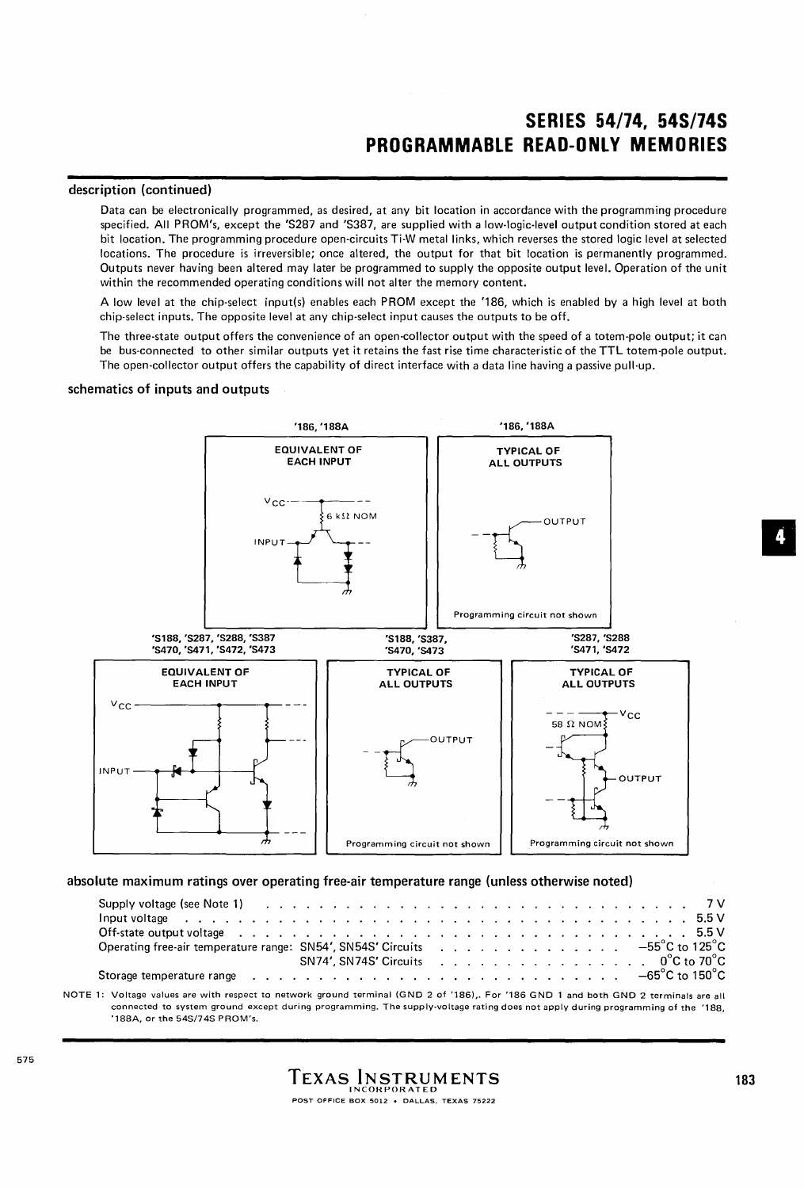## **SERIES 54/74, 54S/74S PROGRAMMABLE READ-ONLY MEMORIES**

#### **description (continued)**

Data can be electronically programmed, as desired, at any bit location in accordance with the programming procedure specified. All PROM's, except the 'S287 and 'S387, are supplied with a low·logic-Ievel output condition stored at each bit location. The programming procedure open-circuits Ti-W metal links, which reverses the stored logic level at selected locations. The procedure is irreversible; once altered, the output for that bit location is permanently programmed. Outputs never having been altered may later be programmed to supply the opposite output level. Operation of the unit within the recommended operating conditions will not alter the memory content.

A low level at the chip-select input(s) enables each PROM except the '186, which is enabled by a high level at both chip-select inputs. The opposite level at any chip-select input causes the outputs to be off.

The three-state output offers the convenience of an open-collector output with the speed of a totem-pole output; it can be bus-connected to other similar outputs yet it retains the fast rise time characteristic of the **TTL** totem-pole output. The open-collector output offers the capability of direct interface with a data line having a passive pull-up.

#### **schematics of inputs and outputs**



**absolute maximum ratings over operating free-air temperature range (unless otherwise noted)** 

| Supply voltage (see Note 1) (edge of contact of the contact of the contact of the contact of the contact of the contact of the contact of the contact of the contact of the contact of the contact of the contact of the conta |  |  |  |  |  |  |  |  |  |  |  |  |  |  |                                    |
|--------------------------------------------------------------------------------------------------------------------------------------------------------------------------------------------------------------------------------|--|--|--|--|--|--|--|--|--|--|--|--|--|--|------------------------------------|
|                                                                                                                                                                                                                                |  |  |  |  |  |  |  |  |  |  |  |  |  |  |                                    |
| Off-state output voltage enterpreteration of the content of the content of the content of the content of the content of the content of the content of the content of the content of the content of the content of the content  |  |  |  |  |  |  |  |  |  |  |  |  |  |  |                                    |
| Operating free-air temperature range: SN54', SN54S' Circuits 55°C to 125°C                                                                                                                                                     |  |  |  |  |  |  |  |  |  |  |  |  |  |  |                                    |
|                                                                                                                                                                                                                                |  |  |  |  |  |  |  |  |  |  |  |  |  |  | SN74', SN74S' Circuits 0°C to 70°C |
| Storage temperature range (edge) and contact the context of the context of the context of the context of the storage formula of $\sim 5^{\circ}$ C to $150^{\circ}$ C                                                          |  |  |  |  |  |  |  |  |  |  |  |  |  |  |                                    |
|                                                                                                                                                                                                                                |  |  |  |  |  |  |  |  |  |  |  |  |  |  |                                    |

NOTE1: Voltage values are with respect to network ground terminal (GND 2 of '186),. For '186 GND 1 and both GND 2 terminals are all connected to system ground except during programming. The supply-voltage rating does not apply during programming of the '188, '188A, or the 5451745 PROM's.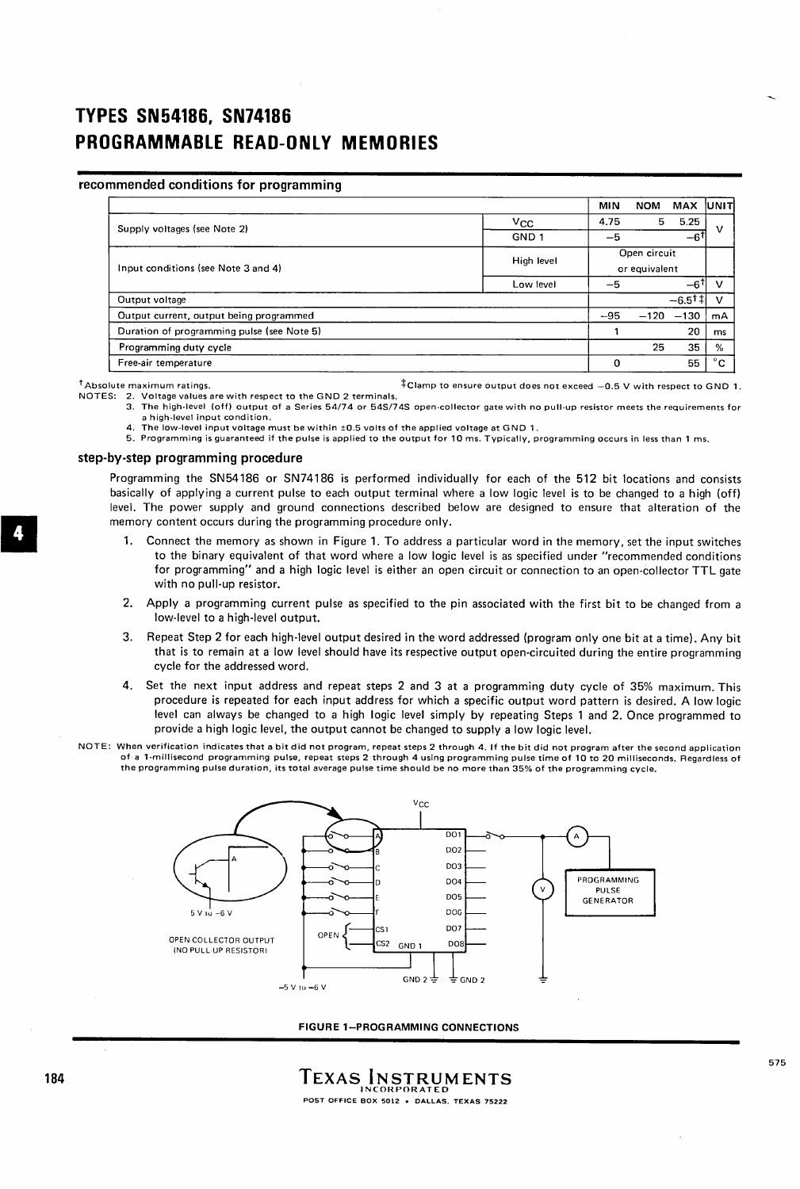# **TYPES SN54186, SN74186 PROGRAMMABLE READ-ONLY MEMORIES**

### recommended conditions for programming

|                                            |            | MIN   | <b>NOM</b>    | <b>MAX</b>       | <b>IUNIT</b> |
|--------------------------------------------|------------|-------|---------------|------------------|--------------|
| Supply voltages (see Note 2)               | $V_{CC}$   | 4.75  | 5             | 5.25             | v            |
|                                            | GND 1      | -5    |               | $-6^{\dagger}$   |              |
|                                            | High level |       | Open circuit  |                  |              |
| Input conditions (see Note 3 and 4)        |            |       | or equivalent |                  |              |
|                                            | Low level  | -5    |               | $-61$            |              |
| Output voltage                             |            |       |               | $-6.5^{\dagger}$ |              |
| Output current, output being programmed    |            | $-95$ | $-120$        | $-130$           | mA           |
| Duration of programming pulse (see Note 5) |            |       |               | 20               | ms           |
| Programming duty cycle                     |            |       | 25            | 35               | %            |
| Free-air temperature                       |            | 0     |               | 55               | $^{\circ}$ C |

 $^{\dagger}$  Absolute maximum ratings.  $^{\dagger}$  Clamp to ensure output does not exceed -0.5 V with respect to GND 1.

- NOTES: 2. Voltage values are with respect to the GNO 2 terminals.
	- 3. The high·level (off) output of a Series 54/74 or 54S/74S open-collector gate with no pull-up resistor meets the requirements for a high-level input condition.<br>4. The low-level input voltage must be within ±0.5 volts of the applied voltage at GND 1.<br>5. Programming is guaranteed if the pulse is applied to the output for 10 ms. Typically, programmi
	-
	-

#### step-by-step programming procedure

Programming the SN54186 or SN74186 is performed individually for each of the 512 bit locations and consists basically of applying a current pulse to each output terminal where a low logic level is to be changed to a high (off) level. The power supply and ground connections described below are designed to ensure that alteration of the memory content occurs during the programming procedure only.

- 1. Connect the memory as shown in Figure 1. To address a particular word in the memory, set the input switches to the binary equivalent of that word where a low logic level is as specified under "recommended conditions for programming" and a high logic level is either an open circuit or connection to an open-collector TTL gate with no pull-up resistor.
- 2. Apply a programming current pulse as specified to the pin associated with the first bit to be changed from a low-level to a high-level output.
- 3. Repeat Step 2 for each high-level output desired in the word addressed (program only one bit at a time). Any bit that is to remain at a low level should have its respective output open-circuited during the entire programming cycle for the addressed word.
- 4. Set the next input address and repeat steps 2 and 3 at a programming duty cycle of 35% maximum. This procedure is repeated for each input address for which a specific output word pattern is desired. A low logic level can always be changed to a high logic level simply by repeating Steps 1 and 2. Once programmed to provide a high logic level, the output cannot be changed to supply a low logic level.
- NOTE: When verification indicates that a bit did not program, repeat steps 2 through 4. If the bit did not program after the second application of a 1-millisecond programming pulse, repeat steps 2 through 4 using programming pulse time of 10 to 20 milliseconds. Regardless of the programming pulse duration, its total average pulse time should be no more than 35% of the programming cycle.



FIGURE 1-PROGRAMMING CONNECTIONS

575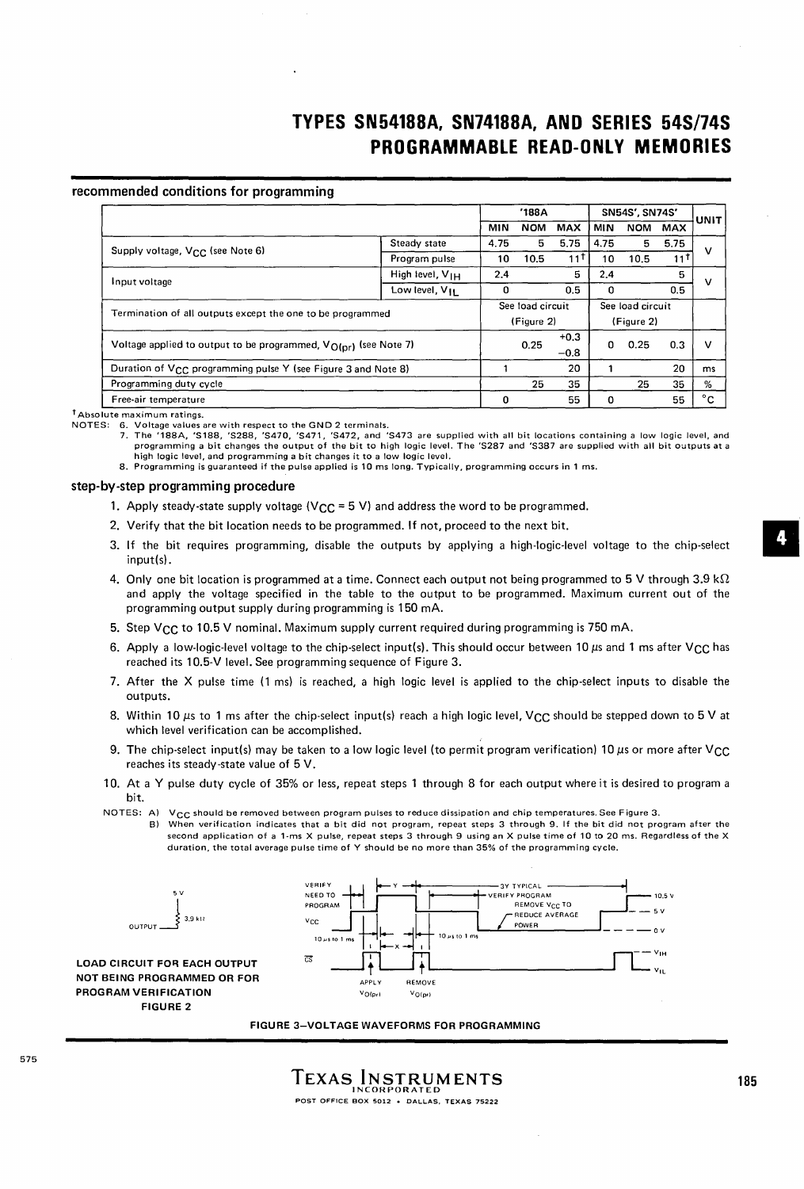# **TYPES SN54188A, SN74188A, AND SERIES 54S/74S PROGRAMMABLE READ-ONLY MEMORIES**

### recommended conditions for programming

|                                                                           |                             | '188A |                  |            |            | <b>SN54S', SN74S'</b> |            | UNIT         |
|---------------------------------------------------------------------------|-----------------------------|-------|------------------|------------|------------|-----------------------|------------|--------------|
|                                                                           |                             | MIN   | <b>NOM</b>       | <b>MAX</b> | <b>MIN</b> | <b>NOM</b>            | <b>MAX</b> |              |
| Supply voltage, V <sub>CC</sub> (see Note 6)                              | Steady state                | 4.75  | 5                | 5.75       | 4.75       | 5                     | 5.75       | v            |
|                                                                           | Program pulse               | 10    | 10.5             | 11         | 10         | 10.5                  | 11 T       |              |
| Input voltage                                                             | High level, V <sub>IH</sub> | 2.4   |                  | 5          | 2.4        |                       | 5          | ν            |
|                                                                           | Low level, V <sub>II</sub>  | 0     |                  | 0.5        | 0          |                       | 0.5        |              |
| Termination of all outputs except the one to be programmed                |                             |       | See load circuit |            |            | See load circuit      |            |              |
|                                                                           |                             |       | (Figure 2)       |            |            | (Figure 2)            |            |              |
|                                                                           |                             |       | 0.25             | $+0.3$     | 0          | 0.25                  | 0.3        | $\mathsf{v}$ |
| Voltage applied to output to be programmed, $V_{O(nr)}$ (see Note 7)      |                             |       |                  | $-0.8$     |            |                       |            |              |
| Duration of V <sub>CC</sub> programming pulse Y (see Figure 3 and Note 8) |                             |       |                  | 20         |            |                       | 20         | ms           |
| Programming duty cycle                                                    |                             |       | 25               | 35         |            | 25                    | 35         | %            |
| Free-air temperature                                                      |                             | 0     |                  | 55         | Ω          |                       | 55         | °c           |

r Absolute maximum ratings.

NOTES: 6. Voltage values are with respect to the GND 2 terminals.<br>7. The '188A, 'S188, 'S288, 'S470, 'S471, 'S472, and 'S473 are supplied with all bit locations containing a low logic level, and<br>programming a bit changes high logic level, and programming a bit changes it to a low logic level.

8. Programming is guaranteed if the pulse applied is 10 ms long. Typically, programming occurs in 1 ms.

#### step-by-step programming procedure

- 1. Apply steady-state supply voltage (V<sub>CC</sub> = 5 V) and address the word to be programmed.
- 2. Verify that the bit location needs to be programmed. If not, proceed to the next bit.
- 3. If the bit requires programming, disable the outputs by applying a high-logic-level voltage to the chip-select input{s).
- 4. Only one bit location is programmed at a time. Connect each output not being programmed to 5 V through 3.9 k $\Omega$ and apply the voltage specified in the table to the output to be programmed. Maximum current out of the programming output supply during programming is 150 mA.
- 5. Step V<sub>CC</sub> to 10.5 V nominal. Maximum supply current required during programming is 750 mA.
- 6. Apply a low-logic-level voltage to the chip-select input(s). This should occur between 10  $\mu$ s and 1 ms after V<sub>CC</sub> has reached its 10.5-V level. See programming sequence of Figure 3.
- 7. After the X pulse time (1 ms) is reached, a high logic level is applied to the chip-select inputs to disable the outputs.
- 8. Within 10  $\mu$ s to 1 ms after the chip-select input(s) reach a high logic level, V<sub>CC</sub> should be stepped down to 5 V at which level verification can be accomplished.
- 9. The chip-select input(s) may be taken to a low logic level (to permit program verification) 10  $\mu$ s or more after VCC reaches its steady-state value of 5 V.
- 10. At a Y pulse duty cycle of 35% or less, repeat steps 1 through 8 for each output where it is desired to program a bit.
- NOTES: A) V<sub>CC</sub> should be removed between program pulses to reduce dissipation and chip temperatures. See Figure 3. B) When verification indicates that a bit did not program, repeat steps 3 through 9. If the bit did not program after the
	- second application of a 1·ms X pulse, repeat steps 3 through 9 using an X pulse time of 10 to 20 ms. Regardless of the X duration, the total average pulse time of Y should be no more than 35% of the programming cycle.



FIGURE 3-VOLTAGE WAVEFORMS FOR PROGRAMMING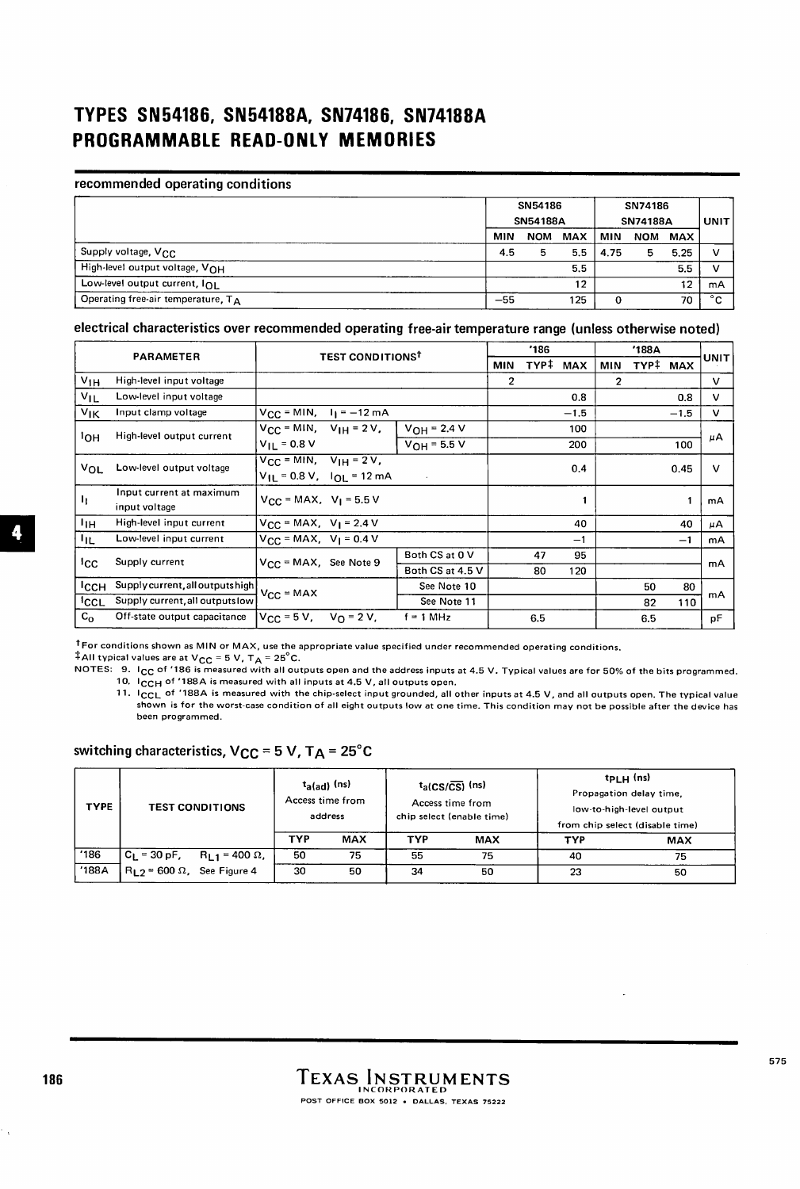# **TYPES SN54186. SN54188A. SN74186. SN74188A PROGRAMMABLE READ-ONLY MEMORIES**

### recommended operating conditions

|                                       |       | SN54186<br><b>SN54188A</b> |                  | SN74186<br><b>SN74188A</b> | UNIT |         |        |
|---------------------------------------|-------|----------------------------|------------------|----------------------------|------|---------|--------|
|                                       | MIN   | <b>NOM</b>                 | MAX              | <b>MIN</b>                 |      | NOM MAX |        |
| Supply voltage, V <sub>CC</sub>       | 4.5   |                            | 5.5 <sub>1</sub> | 4.75                       | 5    | 5.25    | ν      |
| High-level output voltage, VOH        |       |                            | 5.5              |                            |      | 5.5     |        |
| Low-level output current, IOL         |       |                            | 12               |                            |      | 12      | mA     |
| Operating free-air temperature, $T_A$ | $-55$ |                            | 125              |                            |      | 70      | $\sim$ |

## electrical characteristics over recommended operating free-air temperature range (unless otherwise noted)

|                 | <b>PARAMETER</b>                          | <b>TEST CONDITIONS</b>                                         |                                                |                  | '186           |      |            |     | UNIT     |        |              |
|-----------------|-------------------------------------------|----------------------------------------------------------------|------------------------------------------------|------------------|----------------|------|------------|-----|----------|--------|--------------|
|                 |                                           |                                                                |                                                |                  | MIN            | TYP‡ | <b>MAX</b> | MIN | TYP# MAX |        |              |
| $V_{1H}$        | High-level input voltage                  |                                                                |                                                |                  | $\overline{2}$ |      |            | 2   |          |        | $\mathsf{v}$ |
| $V_{IL}$        | Low-level input voltage                   |                                                                |                                                |                  |                |      | 0.8        |     |          | 0.8    | v            |
| $v_{\rm IK}$    | Input clamp voltage                       |                                                                | $V_{\text{CC}}$ = MIN, $I_1$ = -12 mA          |                  |                |      | $-1.5$     |     |          | $-1.5$ | v            |
|                 | High-level output current                 | $V_{CC}$ = MIN, $V_{IH}$ = 2V,                                 |                                                | $V_{OH} = 2.4 V$ |                |      | 100        |     |          |        |              |
| ≀он             |                                           | $V_{II} = 0.8 V$                                               |                                                | $V_{OH} = 5.5 V$ |                |      | 200        |     |          | 100    | μA           |
| Vol             | Low-level output voltage                  | $V_{\text{CC}}$ = MIN, $V_{\text{IH}}$ = 2V,                   | $V_{\text{H}}$ = 0.8 V, $I_{\text{O}}$ = 12 mA |                  |                |      | 0.4        |     |          | 0.45   | $\mathsf{v}$ |
| 11              | Input current at maximum<br>input voltage | $V_{\text{CC}}$ = MAX, $V_{\text{I}}$ = 5.5 V                  |                                                |                  |                |      | 1          |     |          |        | mA           |
| ЧΗ              | High-level input current                  | $V_{CC} = MAX, V_1 = 2.4 V$                                    |                                                |                  |                |      | 40         |     |          | 40     | μA           |
| կը              | Low-level input current                   | $V_{CC}$ = MAX, $V_1$ = 0.4 V                                  |                                                |                  |                |      | $-1$       |     |          | $-1$   | mA           |
|                 | Supply current                            | $V_{CC}$ = MAX, See Note 9                                     |                                                | Both CS at 0 V   |                | 47   | 95         |     |          |        |              |
| <sup>1</sup> CC |                                           |                                                                |                                                | Both CS at 4.5 V |                | 80   | 120        |     |          |        | mA           |
| Іссн            | Supply current, all outputs high          | $V_{CC} = MAX$                                                 |                                                | See Note 10      |                |      |            |     | 50       | 80     |              |
| 'cc∟            | Supply current, all outputs low           |                                                                |                                                | See Note 11      |                |      |            |     | 82       | 110    | mA           |
| $C_{\Omega}$    | Off-state output capacitance              | $V_{\text{CC}} = 5 \text{ V}$ , $V_{\text{O}} = 2 \text{ V}$ . |                                                | $f = 1 MHz$      |                | 6.5  |            |     | 6.5      |        | pF           |

<sup>t</sup> For conditions shown as MIN or MAX, use the appropriate value specified under recommended operating conditions.  $\dagger$ All typical values are at V<sub>CC</sub> = 5 V, T<sub>A</sub> = 25°C.

NOTES: 9. I<sub>CC</sub> of '186 is measured with all outputs open and the address inputs at 4.5 V. Typical values are for 50% of the bits programmed.

10. ICCH of '188A is measured with all inputs at 4.5 V, all outputs open. 11. ICCL of '188A is measured with the chip-select input grounded, all other inputs at 4.5 V, and all outputs open. The typical value

shown is for the worst-case condition of all eight outputs low at one time. This condition may not be possible after the device has been programmed.

switching characteristics,  $V_{CC}$  = 5 V, TA = 25°C

| <b>TYPE</b>   | <b>TEST CONDITIONS</b>                                 | TYP | $t_{\rm a(ad)}$ (ns)<br>Access time from<br>address<br><b>MAX</b> | <b>TYP</b> | $t_a$ (CS/CS) (ns)<br>Access time from<br>chip select (enable time)<br><b>MAX</b> | <b>TYP</b> | $tp_{LH}$ (ns)<br>Propagation delay time,<br>low-to-high-level output<br>from chip select (disable time)<br><b>MAX</b> |
|---------------|--------------------------------------------------------|-----|-------------------------------------------------------------------|------------|-----------------------------------------------------------------------------------|------------|------------------------------------------------------------------------------------------------------------------------|
| $^{\circ}186$ | , C <sub>L</sub> = 30 pF,<br>$R_{L1}$ = 400 $\Omega$ , | 50  | 75                                                                | 55         | 75                                                                                | 40         | 75                                                                                                                     |
| '188A         | $R_{1,2}$ = 600 $\Omega$ , See Figure 4                | 30  | 50                                                                | 34         | 50                                                                                | 23         | 50                                                                                                                     |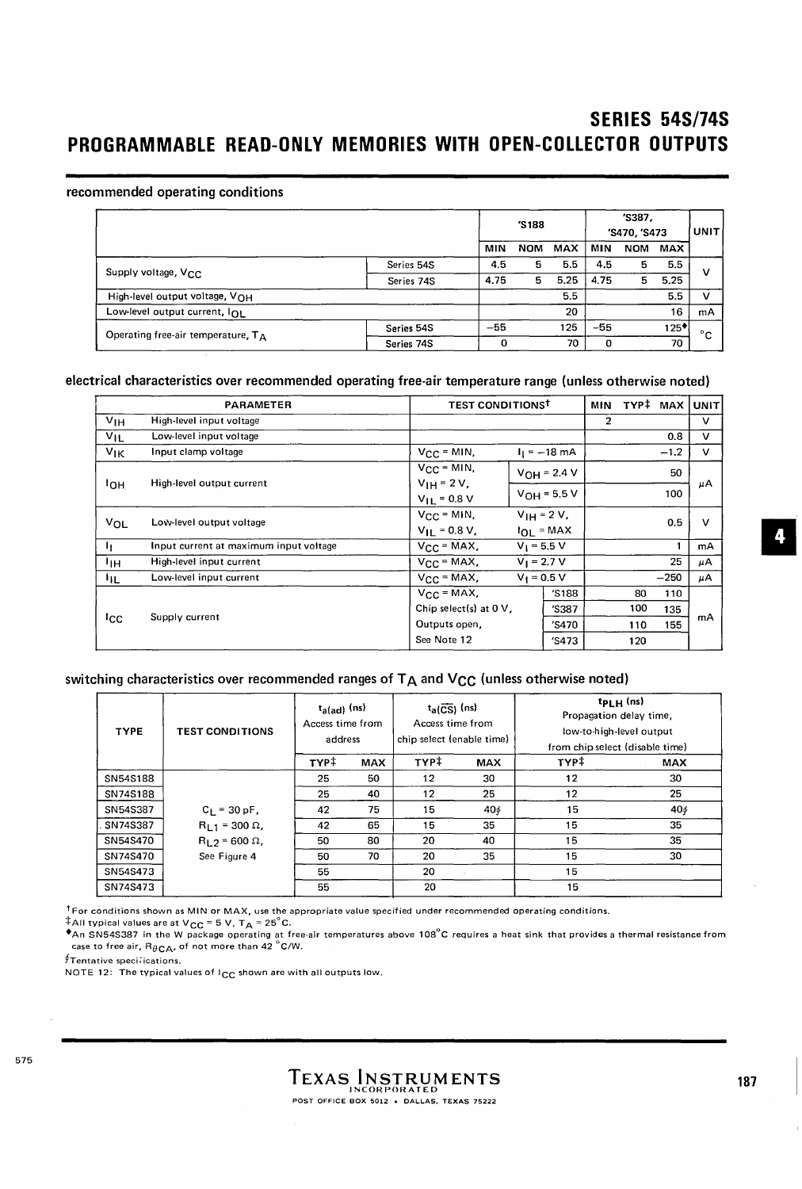## **SERIES 54S/74S PROGRAMMABLE READ-ONLY MEMORIES WITH OPEN-COLLECTOR OUTPUTS**

### recommended operating conditions

|                                       |            |       | 'S188      |            |       | 'S387.<br>'S470, 'S473 |            |    |  |
|---------------------------------------|------------|-------|------------|------------|-------|------------------------|------------|----|--|
|                                       |            | MIN   | <b>NOM</b> | <b>MAX</b> | MIN   | <b>NOM</b>             | <b>MAX</b> |    |  |
| Supply voltage, V <sub>CC</sub>       | Series 54S | 4.5   | 5          | 5.5        | 4.5   |                        | 5.5        | ν  |  |
|                                       | Series 74S | 4.75  | 5          | 5.25       | 4.75  | 5                      | 5.25       |    |  |
| High-level output voltage, VOH        |            |       |            | 5.5        |       |                        | 5.5        | v  |  |
| Low-level output current, InL         |            |       |            | 20         |       |                        | 16         | mA |  |
| Operating free-air temperature, $T_A$ | Series 54S | $-55$ |            | 125        | $-55$ |                        | $125*$     | °c |  |
|                                       | Series 74S | 0     |            | 70         | Ω     |                        | 70         |    |  |

### electrical characteristics over recommended operating free-air temperature range (unless otherwise noted)

|                   | <b>PARAMETER</b>                       | <b>TEST CONDITIONS<sup>T</sup></b> |               |                    | <b>MIN</b>   | TYP# MAX |        | <b>UNIT</b>  |
|-------------------|----------------------------------------|------------------------------------|---------------|--------------------|--------------|----------|--------|--------------|
| V <sub>1H</sub>   | High-level input voltage               |                                    |               |                    | $\mathbf{2}$ |          |        | $\mathsf{v}$ |
| $V_{\text{IL}}$   | Low-level input voltage                |                                    |               |                    |              |          | 0.8    | v            |
| $V_{\mathsf{IK}}$ | Input clamp voltage                    | $V_{CC}$ = MIN,                    |               | $I_1 = -18$ mA     |              |          | $-1.2$ | $\mathbf v$  |
|                   | High-level output current              | $V_{CC} = MIN.$<br>$V_{1H} = 2 V,$ |               | $VOH = 2.4 V$      |              |          | 50     |              |
| ≀он               |                                        | $V_{11} = 0.8 V$                   |               | $V_{OH} = 5.5 V$   |              |          | 100    | μA           |
| VOL               | Low-level output voltage               | $V_{CC} = MIN,$                    |               | $V_{1H} = 2 V_{1}$ |              |          | 0.5    | $\mathbf v$  |
|                   |                                        | $V_{II} = 0.8 V,$                  |               | $I_{OL}$ = MAX     |              |          |        |              |
| h.                | Input current at maximum input voltage | $V_{CC}$ = MAX,                    | $V_1 = 5.5 V$ |                    |              |          |        | mA           |
| Чн                | High-level input current               | $V_{CC}$ = MAX,                    | $V_1 = 2.7 V$ |                    |              |          | 25     | μA           |
| ħш                | Low-level input current                | $V_{\text{CC}}$ = MAX,             | $V_1 = 0.5 V$ |                    |              |          | $-250$ | μA           |
|                   |                                        | $V_{CC}$ = MAX,                    |               | 'S188              |              | 80       | 110    |              |
|                   |                                        | Chip select(s) at $0V$ ,           |               | 'S387              |              | 100      | 135    |              |
| Icc               | Supply current                         | Outputs open,                      |               | 'S470              |              | 110      | 155    | mA           |
|                   |                                        | See Note 12                        |               | 'S473              |              | 120      |        |              |

## switching characteristics over recommended ranges of  $T_A$  and  $V_{CC}$  (unless otherwise noted)

| <b>TYPE</b> | <b>TEST CONDITIONS</b>   | $t_{a(ad)}$ (ns)<br>Access time from<br>address |            | $t_a(\overline{CS})$ (ns)<br>Access time from<br>chip select (enable time) |            | $t_{\text{PLH}}$ (ns)<br>Propagation delay time,<br>low-to-high-level output<br>from chip select (disable time) |     |
|-------------|--------------------------|-------------------------------------------------|------------|----------------------------------------------------------------------------|------------|-----------------------------------------------------------------------------------------------------------------|-----|
|             |                          | TYP‡                                            | <b>MAX</b> | TYP‡                                                                       | <b>MAX</b> | TYP‡                                                                                                            | MAX |
| SN54S188    |                          | 25                                              | 50         | 12                                                                         | 30         | 12                                                                                                              | 30  |
| SN74S188    |                          | 25                                              | 40         | 12                                                                         | 25         | 12                                                                                                              | 25  |
| SN54S387    | $C_1 = 30 pF,$           | 42                                              | 75         | 15                                                                         | 40¢        | 15                                                                                                              | 406 |
| SN74S387    | $R_{1,1} = 300 \Omega$ , | 42                                              | 65         | 15                                                                         | 35         | 15                                                                                                              | 35  |
| SN54S470    | $R_1$ $2 = 600 \Omega$ , | 50                                              | 80         | 20                                                                         | 40         | 15                                                                                                              | 35  |
| SN74S470    | See Figure 4             | 50                                              | 70         | 20                                                                         | 35         | 15                                                                                                              | 30  |
| SN54S473    |                          | 55                                              |            | 20                                                                         |            | 15                                                                                                              |     |
| SN74S473    |                          | 55                                              |            | 20                                                                         |            | 15                                                                                                              |     |

<sup>†</sup> For conditions shown as MIN or MAX, use the appropriate value specified under recommended operating conditions.

‡All typical values are at V<sub>CC</sub> = 5 V, T<sub>A</sub> = 25°C.<br>♦An SN54S387 in the W package operating at free-air temperatures above 108°C requires a heat sink that provides a thermal resistance from<br>Case to free air, R<sub>θCA</sub>, of n

†Tentative speciîications.<br>NOTE 12: The typical values of l<sub>CC</sub> shown are with all outputs low.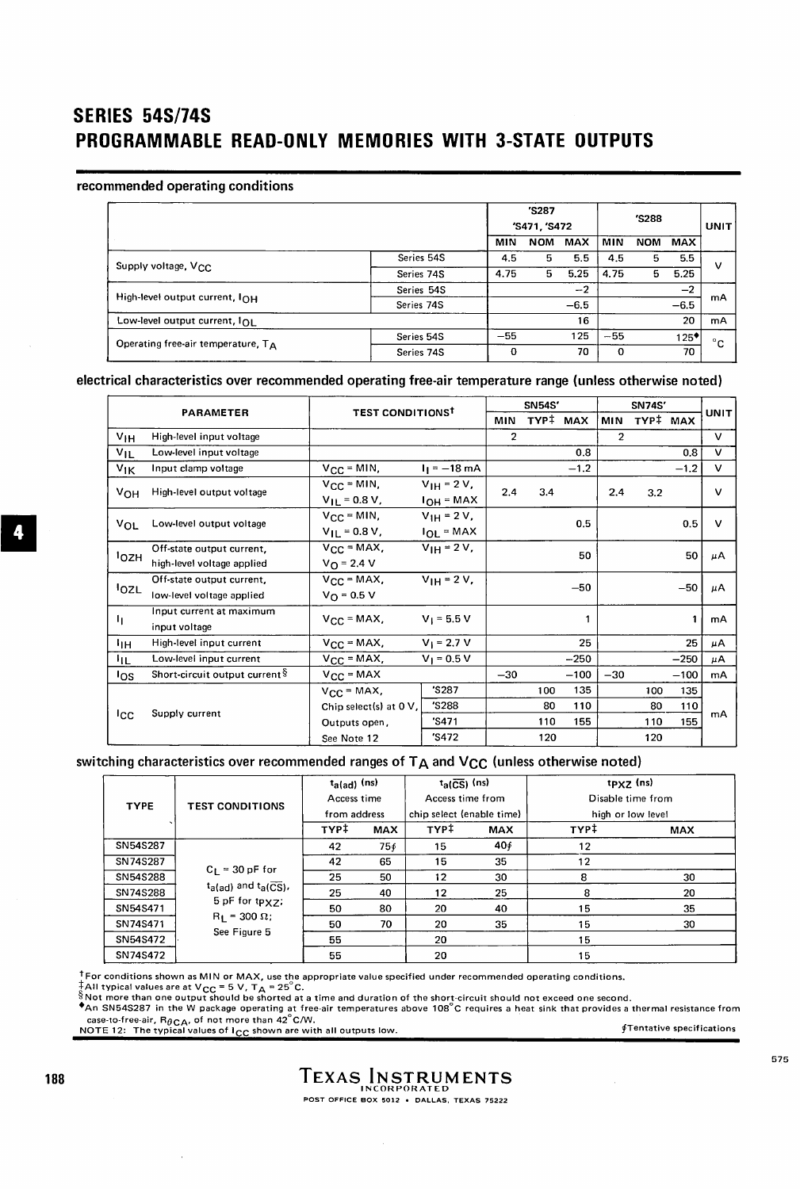# **SERIES 54S/74S PROGRAMMABLE READ-ONLY MEMORIES WITH 3-STATE OUTPUTS**

### recommended operating conditions

|                                           |            |          | 'S287<br>'S471, 'S472 |        |          | 'S288      |        |              |
|-------------------------------------------|------------|----------|-----------------------|--------|----------|------------|--------|--------------|
|                                           |            | MIN      | <b>NOM</b>            | MAX    | MIN      | <b>NOM</b> | MAX    |              |
|                                           | Series 54S | 4.5      | 5                     | 5.5    | 4.5      | 5          | 5.5    | v            |
| Supply voltage, V <sub>CC</sub>           | Series 74S | 4.75     | 5                     | 5.25   | 4.75     | 5          | 5.25   |              |
| High-level output current, $I_{\Omega H}$ | Series 54S |          |                       | $-2$   |          |            | $-2$   |              |
|                                           | Series 74S |          |                       | $-6.5$ |          |            | $-6.5$ | mA           |
| Low-level output current, IOL             |            |          |                       | 16     |          |            | 20     | mA           |
| Operating free-air temperature, $T_A$     | Series 54S | $-55$    |                       | 125    | $-55$    |            | $125*$ | $^{\circ}$ C |
|                                           | Series 74S | $\Omega$ |                       | 70     | $\Omega$ |            | 70     |              |

### electrical characteristics over recommended operating free-air temperature range (unless otherwise noted)

| <b>PARAMETER</b> |                                                         | <b>TEST CONDITIONS<sup>†</sup></b>                                   |                                          | <b>SN54S'</b>  |                  |                   | <b>SN74S'</b>  |                  |                   |              |
|------------------|---------------------------------------------------------|----------------------------------------------------------------------|------------------------------------------|----------------|------------------|-------------------|----------------|------------------|-------------------|--------------|
|                  |                                                         |                                                                      |                                          | <b>MIN</b>     |                  | TYP# MAX          | <b>MIN</b>     | TYP# MAX         |                   | <b>UNIT</b>  |
| V <sub>IН</sub>  | High-level input voltage                                |                                                                      |                                          | $\overline{c}$ |                  |                   | $\overline{2}$ |                  |                   | $\mathsf{v}$ |
| $v_{1L}$         | Low-level input voltage                                 |                                                                      |                                          |                |                  | 0.8               |                |                  | 0.8               | $\mathbf v$  |
| V <sub>IK</sub>  | Input clamp voltage                                     | $V_{CC}$ = MIN,                                                      | $I_1 = -18$ mA                           |                |                  | $-1.2$            |                |                  | $-1.2$            | $\mathbf v$  |
| V <sub>OH</sub>  | High-level output voltage                               | $V_{CC}$ = MIN,<br>$V_{\rm IL}$ = 0.8 V,                             | $V_{\text{IH}} = 2 V,$<br>$I_{OH} = MAX$ | 2,4            | 3.4              |                   | 2,4            | 3.2              |                   | $\mathbf v$  |
| $V_{OL}$         | Low-level output voltage                                | $V_{CC} = MIN,$<br>$V_{\text{H}}$ = 0.8 V,                           | $V_{1H} = 2 V,$<br>$I_{OL}$ = MAX        |                |                  | 0.5               |                |                  | 0.5               | $\mathbf v$  |
| <sup>1</sup> OZH | Off-state output current.<br>high-level voltage applied | $V_{CC}$ = MAX,<br>$V_{\Omega}$ = 2.4 V                              | $V_{1H} = 2 V,$                          |                |                  | 50                |                |                  | 50                | μA           |
| IozL             | Off-state output current,<br>low-level voltage applied  | $V_{CC}$ = MAX,<br>$V_{\Omega} = 0.5 V$                              | $V_{1H} = 2 V$ ,                         |                |                  | $-50$             |                |                  | $-50$             | μA           |
| 4                | Input current at maximum<br>input voltage               | $V_{CC}$ = MAX,                                                      | $V_1 = 5.5 V$                            |                |                  | 1                 |                |                  |                   | mA           |
| ١н               | High-level input current                                | $V_{\text{CC}}$ = MAX,                                               | $V_1 = 2.7 V$                            |                |                  | 25                |                |                  | 25                | μA           |
| ЧL               | Low-level input current                                 | $V_{CC} = MAX,$                                                      | $V_1 = 0.5 V$                            |                |                  | $-250$            |                |                  | $-250$            | μA           |
| los.             | Short-circuit output current §                          | $V_{CC} = MAX$                                                       |                                          | $-30$          |                  | $-100$            | $-30$          |                  | $-100$            | mA           |
| Icc              | Supply current                                          | $V_{\text{CC}}$ = MAX,<br>Chip select(s) at $0 V$ ,<br>Outputs open, | 'S287<br>'S288<br>'S471                  |                | 100<br>80<br>110 | 135<br>110<br>155 |                | 100<br>80<br>110 | 135<br>110<br>155 | mA           |
|                  |                                                         | See Note 12                                                          | 'S472                                    |                | 120              |                   |                | 120              |                   |              |

## switching characteristics over recommended ranges of  $T_A$  and  $V_{CC}$  (unless otherwise noted)

|             | <b>TEST CONDITIONS</b>                                               | $t_{a(ad)}$ (ns)<br>Access time |            | $t_a(\overline{CS})$ (ns)<br>Access time from |            | tpxz (ns)<br>Disable time from |     |  |
|-------------|----------------------------------------------------------------------|---------------------------------|------------|-----------------------------------------------|------------|--------------------------------|-----|--|
| <b>TYPE</b> |                                                                      | from address                    |            | chip select (enable time)                     |            | high or low level              |     |  |
|             |                                                                      | TYP‡                            | <b>MAX</b> | TYP‡                                          | <b>MAX</b> | TYP‡                           | MAX |  |
| SN54S287    | $C_L = 30 pF$ for<br>$t_{a(ad)}$ and $t_{a(CS)}$ ,<br>5 pF for tpxz; | 42                              | 754        | 15                                            | 404        | 12                             |     |  |
| SN74S287    |                                                                      | 42                              | 65         | 15                                            | 35         | 12                             |     |  |
| SN54S288    |                                                                      | 25                              | 50         | 12                                            | 30         | 8                              | 30  |  |
| SN74S288    |                                                                      | 25                              | 40         | 12                                            | 25         | 8                              | 20  |  |
| SN54S471    |                                                                      | 50                              | 80         | 20                                            | 40         | 15                             | 35  |  |
| SN74S471    | $R_L$ = 300 $\Omega$ ;                                               | 50                              | 70         | 20                                            | 35         | 15                             | 30  |  |
| SN54S472    | See Figure 5                                                         | 55                              |            | 20                                            |            | 15                             |     |  |
| SN74S472    |                                                                      | 55                              |            | 20                                            |            | 15                             |     |  |

<sup>1</sup> For conditions shown as MIN or MAX, use the appropriate value specified under recommended operating conditions.<br> $\pm \text{All typical values are at V_{CC} = 5 V, T_A = 25^\circ \text{C}.$ <br>Shot more than one output should be shorted at a time and duration of

188

a